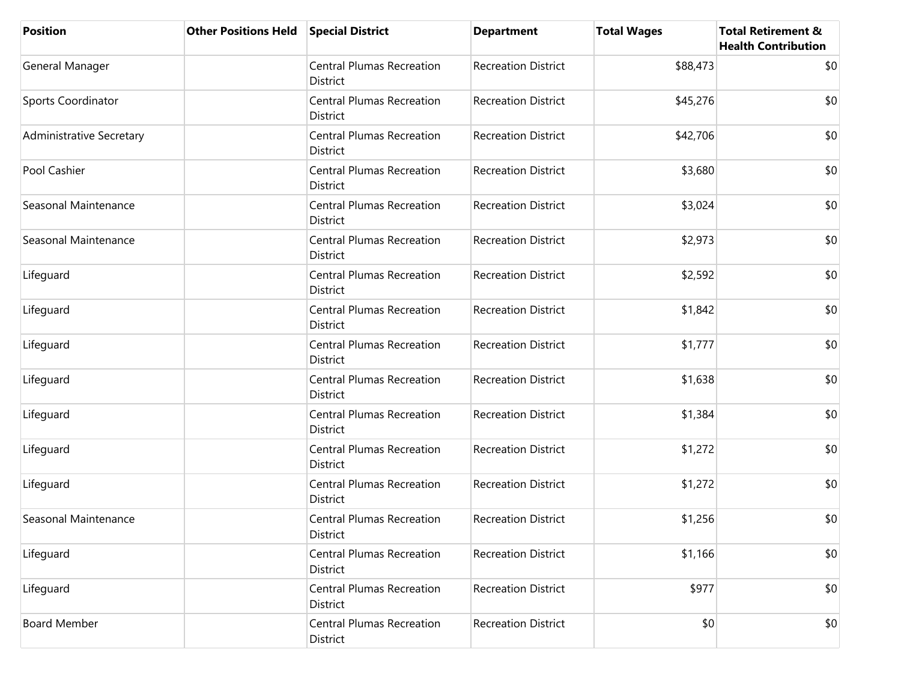| <b>Position</b>                 | <b>Other Positions Held</b> | <b>Special District</b>                             | <b>Department</b>          | <b>Total Wages</b> | <b>Total Retirement &amp;</b><br><b>Health Contribution</b> |
|---------------------------------|-----------------------------|-----------------------------------------------------|----------------------------|--------------------|-------------------------------------------------------------|
| General Manager                 |                             | <b>Central Plumas Recreation</b><br>District        | <b>Recreation District</b> | \$88,473           | \$0                                                         |
| <b>Sports Coordinator</b>       |                             | <b>Central Plumas Recreation</b><br>District        | <b>Recreation District</b> | \$45,276           | \$0                                                         |
| <b>Administrative Secretary</b> |                             | <b>Central Plumas Recreation</b><br>District        | <b>Recreation District</b> | \$42,706           | \$0                                                         |
| Pool Cashier                    |                             | <b>Central Plumas Recreation</b><br>District        | <b>Recreation District</b> | \$3,680            | \$0                                                         |
| Seasonal Maintenance            |                             | <b>Central Plumas Recreation</b><br>District        | <b>Recreation District</b> | \$3,024            | \$0                                                         |
| Seasonal Maintenance            |                             | <b>Central Plumas Recreation</b><br><b>District</b> | <b>Recreation District</b> | \$2,973            | \$0                                                         |
| Lifeguard                       |                             | <b>Central Plumas Recreation</b><br>District        | <b>Recreation District</b> | \$2,592            | \$0                                                         |
| Lifeguard                       |                             | <b>Central Plumas Recreation</b><br>District        | <b>Recreation District</b> | \$1,842            | \$0                                                         |
| Lifeguard                       |                             | <b>Central Plumas Recreation</b><br>District        | <b>Recreation District</b> | \$1,777            | \$0                                                         |
| Lifeguard                       |                             | <b>Central Plumas Recreation</b><br>District        | <b>Recreation District</b> | \$1,638            | \$0                                                         |
| Lifeguard                       |                             | <b>Central Plumas Recreation</b><br>District        | <b>Recreation District</b> | \$1,384            | \$0                                                         |
| Lifeguard                       |                             | <b>Central Plumas Recreation</b><br>District        | <b>Recreation District</b> | \$1,272            | \$0                                                         |
| Lifeguard                       |                             | <b>Central Plumas Recreation</b><br><b>District</b> | <b>Recreation District</b> | \$1,272            | \$0                                                         |
| Seasonal Maintenance            |                             | <b>Central Plumas Recreation</b><br>District        | <b>Recreation District</b> | \$1,256            | \$0                                                         |
| Lifeguard                       |                             | <b>Central Plumas Recreation</b><br>District        | <b>Recreation District</b> | \$1,166            | \$0                                                         |
| Lifeguard                       |                             | <b>Central Plumas Recreation</b><br>District        | <b>Recreation District</b> | \$977              | \$0                                                         |
| <b>Board Member</b>             |                             | <b>Central Plumas Recreation</b><br>District        | <b>Recreation District</b> | \$0                | \$0                                                         |